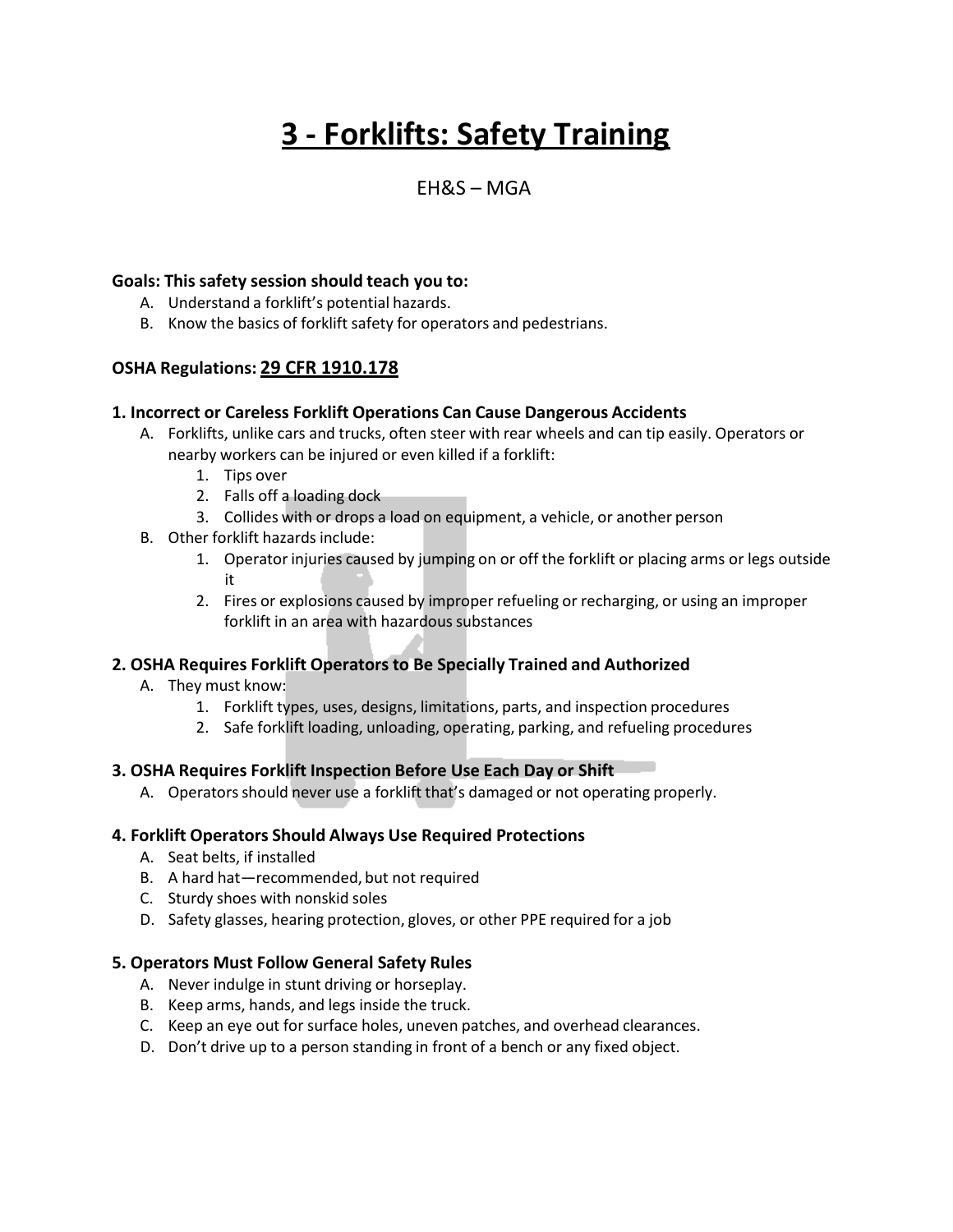# **3 - Forklifts: Safety Training**

# EH&S – MGA

# **Goals: This safety session should teach you to:**

- A. Understand a forklift's potential hazards.
- B. Know the basics of forklift safety for operators and pedestrians.

# **OSHA Regulations: 29 CFR 1910.178**

#### **1. Incorrect or Careless Forklift Operations Can Cause Dangerous Accidents**

- A. Forklifts, unlike cars and trucks, often steer with rear wheels and can tip easily. Operators or nearby workers can be injured or even killed if a forklift:
	- 1. Tips over
	- 2. Falls off a loading dock
	- 3. Collides with or drops a load on equipment, a vehicle, or another person
- B. Other forklift hazards include:
	- 1. Operator injuries caused by jumping on or off the forklift or placing arms or legs outside it
	- 2. Fires or explosions caused by improper refueling or recharging, or using an improper forklift in an area with hazardous substances

# **2. OSHA Requires Forklift Operators to Be Specially Trained and Authorized**

- A. They must know:
	- 1. Forklift types, uses, designs, limitations, parts, and inspection procedures
	- 2. Safe forklift loading, unloading, operating, parking, and refueling procedures

#### **3. OSHA Requires Forklift Inspection Before Use Each Day or Shift**

A. Operators should never use a forklift that's damaged or not operating properly.

#### **4. Forklift Operators Should Always Use Required Protections**

- A. Seat belts, if installed
- B. A hard hat—recommended, but not required
- C. Sturdy shoes with nonskid soles
- D. Safety glasses, hearing protection, gloves, or other PPE required for a job

# **5. Operators Must Follow General Safety Rules**

- A. Never indulge in stunt driving or horseplay.
- B. Keep arms, hands, and legs inside the truck.
- C. Keep an eye out for surface holes, uneven patches, and overhead clearances.
- D. Don't drive up to a person standing in front of a bench or any fixed object.